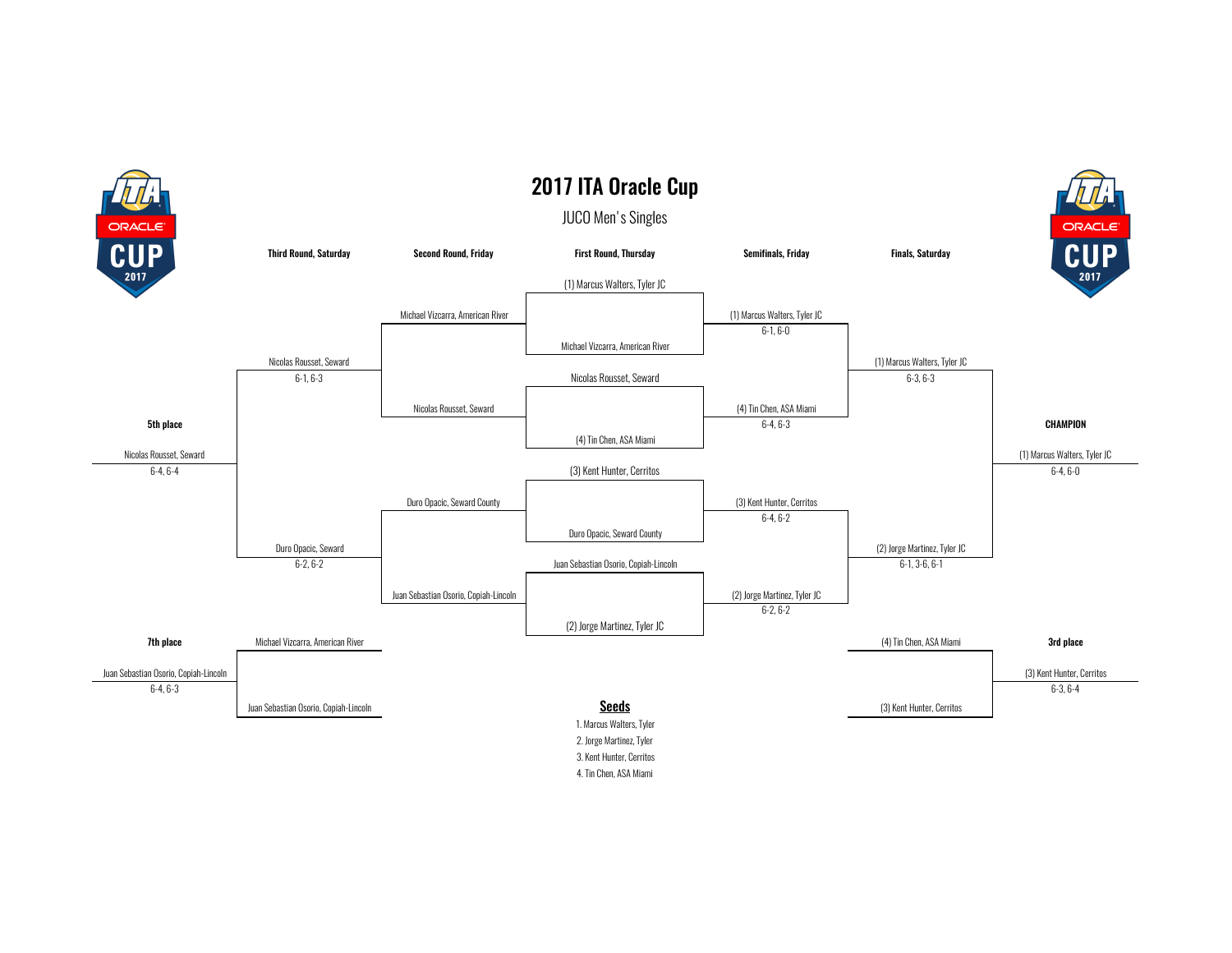